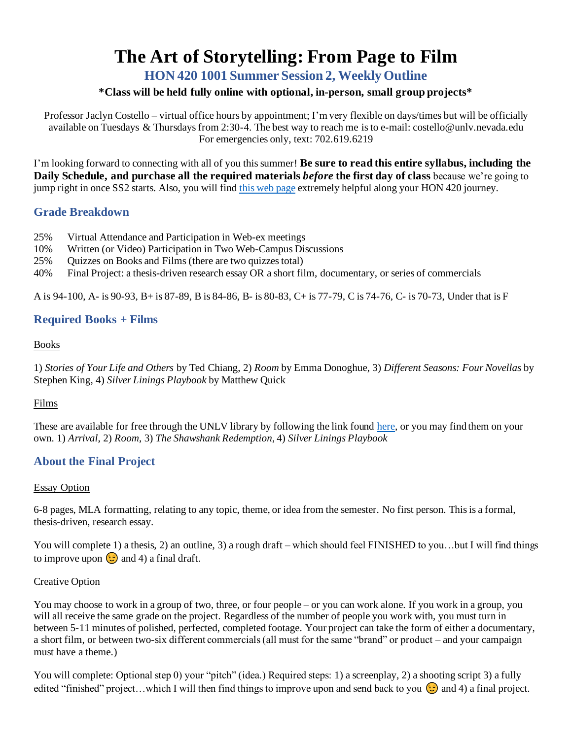# **The Art of Storytelling: From Page to Film**

**HON 420 1001 Summer Session 2, Weekly Outline**

## **\*Class will be held fully online with optional, in-person, small group projects\***

Professor Jaclyn Costello – virtual office hours by appointment; I'm very flexible on days/times but will be officially available on Tuesdays & Thursdays from 2:30-4. The best way to reach me is to e-mail: [costello@unlv.nevada.edu](mailto:costello@unlv.nevada.edu) For emergencies only, text: 702.619.6219

I'm looking forward to connecting with all of you this summer! **Be sure to read this entire syllabus, including the Daily Schedule, and purchase all the required materials** *before* **the first day of class** because we're going to jump right in once SS2 starts. Also, you will find this web [page](https://www.jaclyncostello.com/honors-420) extremely helpful along your HON 420 journey.

## **Grade Breakdown**

- 25% Virtual Attendance and Participation in Web-ex meetings
- 10% Written (or Video) Participation in Two Web-Campus Discussions
- 25% Quizzes on Books and Films (there are two quizzes total)
- 40% Final Project: a thesis-driven research essay OR a short film, documentary, or series of commercials

A is 94-100, A- is 90-93, B+ is 87-89, B is 84-86, B- is 80-83, C+ is 77-79, C is 74-76, C- is 70-73, Under that is F

## **Required Books + Films**

#### Books

1) *Stories of Your Life and Others* by Ted Chiang, 2) *Room* by Emma Donoghue, 3) *Different Seasons: Four Novellas* by Stephen King, 4) *Silver Linings Playbook* by Matthew Quick

## Films

These are available for free through the UNLV library by following the link foun[d here](https://guides.library.unlv.edu/c.php?g=1124779), or you may find them on your own. 1) *Arrival*, 2) *Room*, 3) *The Shawshank Redemption*, 4) *Silver Linings Playbook*

# **About the Final Project**

## Essay Option

6-8 pages, MLA formatting, relating to any topic, theme, or idea from the semester. No first person. This is a formal, thesis-driven, research essay.

You will complete 1) a thesis, 2) an outline, 3) a rough draft – which should feel FINISHED to you...but I will find things to improve upon  $\odot$  and 4) a final draft.

#### Creative Option

You may choose to work in a group of two, three, or four people – or you can work alone. If you work in a group, you will all receive the same grade on the project. Regardless of the number of people you work with, you must turn in between 5-11 minutes of polished, perfected, completed footage. Your project can take the form of either a documentary, a short film, or between two-six different commercials (all must for the same "brand" or product – and your campaign must have a theme.)

You will complete: Optional step 0) your "pitch" (idea.) Required steps: 1) a screenplay, 2) a shooting script 3) a fully edited "finished" project...which I will then find things to improve upon and send back to you  $\odot$  and 4) a final project.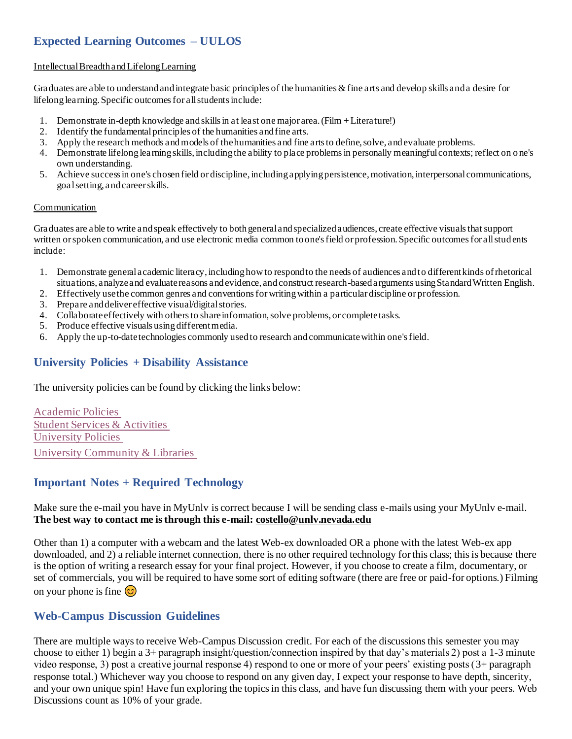# **Expected Learning Outcomes – UULOS**

#### Intellectual Breadth and Lifelong Learning

Graduates are able to understand and integrate basic principles of the humanities  $\&$  fine arts and develop skills and a desire for lifelong learning. Specific outcomes for all students include:

- 1. Demonstrate in-depth knowledge and skills in at least one major area. (Film + Literature!)
- 2. Identify the fundamental principles of the humanities and fine arts.
- 3. Apply the research methods and models of the humanities and fine arts to define, solve, and evaluate problems.
- 4. Demonstrate lifelong learning skills, including the ability to place problems in personally meaningful contexts; reflect on o ne's own understanding.
- 5. Achieve success in one's chosen field or discipline, including applying persistence, motivation, interpersonal communications, goal setting, and career skills.

#### Communication

Graduates are able to write and speak effectively to both general and specialized audiences, create effective visuals that support written or spoken communication, and use electronic media common to one's field or profession. Specific outcomes for all stud ents include:

- 1. Demonstrate general academic literacy, including how to respond to the needs of audiences and to different kinds of rhetorical situations, analyze and evaluate reasons and evidence, and construct research-based arguments using Standard Written English.
- 2. Effectively use the common genres and conventions for writing within a particular discipline or profession.
- 3. Prepare and deliver effective visual/digital stories.
- 4. Collaborate effectively with others to share information, solve problems, or complete tasks.
- 5. Produce effective visuals using different media.
- 6. Apply the up-to-date technologies commonly used to research and communicate within one's field.

## **University Policies + Disability Assistance**

The university policies can be found by clicking the links below:

[Academic Policies](https://catalog.unlv.edu/content.php?catoid=29&navoid=7326) [Student Services & Activities](https://catalog.unlv.edu/content.php?catoid=29&navoid=7331) [University Policies](https://catalog.unlv.edu/content.php?catoid=29&navoid=7332) [University Community & Libraries](https://catalog.unlv.edu/content.php?catoid=29&navoid=7322)

# **Important Notes + Required Technology**

#### Make sure the e-mail you have in MyUnlv is correct because I will be sending class e-mails using your MyUnlv e-mail. **The best way to contact me is through this e-mail[: costello@unlv.nevada.edu](mailto:costello@unlv.nevada.edu)**

Other than 1) a computer with a webcam and the latest Web-ex downloaded OR a phone with the latest Web-ex app downloaded, and 2) a reliable internet connection, there is no other required technology for this class; this is because there is the option of writing a research essay for your final project. However, if you choose to create a film, documentary, or set of commercials, you will be required to have some sort of editing software (there are free or paid-for options.) Filming on your phone is fine  $\odot$ 

## **Web-Campus Discussion Guidelines**

There are multiple ways to receive Web-Campus Discussion credit. For each of the discussions this semester you may choose to either 1) begin a 3+ paragraph insight/question/connection inspired by that day's materials 2) post a 1-3 minute video response, 3) post a creative journal response 4) respond to one or more of your peers' existing posts (3+ paragraph response total.) Whichever way you choose to respond on any given day, I expect your response to have depth, sincerity, and your own unique spin! Have fun exploring the topics in this class, and have fun discussing them with your peers. Web Discussions count as 10% of your grade.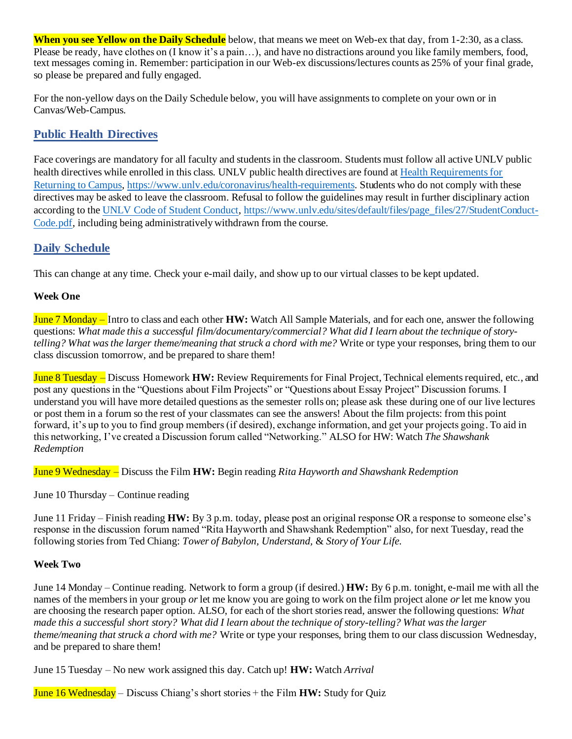**When you see Yellow on the Daily Schedule** below, that means we meet on Web-ex that day, from 1-2:30, as a class. Please be ready, have clothes on (I know it's a pain…), and have no distractions around you like family members, food, text messages coming in. Remember: participation in our Web-ex discussions/lectures counts as 25% of your final grade, so please be prepared and fully engaged.

For the non-yellow days on the Daily Schedule below, you will have assignments to complete on your own or in Canvas/Web-Campus.

# **Public Health Directives**

Face coverings are mandatory for all faculty and students in the classroom. Students must follow all active UNLV public health directives while enrolled in this class. UNLV public health directives are found at [Health Requirements for](https://www.unlv.edu/coronavirus/health-requirements)  [Returning to Campus,](https://www.unlv.edu/coronavirus/health-requirements) <https://www.unlv.edu/coronavirus/health-requirements>. Students who do not comply with these directives may be asked to leave the classroom. Refusal to follow the guidelines may result in further disciplinary action according to the [UNLV Code of Student Conduct,](file:///C:/Users/Jaclyn/Desktop/UNLV%20Stuff%20Since%20Promo/Fall%20Classes/UNLV%20Code%20of%20Student%20Conduct) [https://www.unlv.edu/sites/default/files/page\\_files/27/StudentConduct-](https://www.unlv.edu/sites/default/files/page_files/27/StudentConduct-Code.pdf)[Code.pdf,](https://www.unlv.edu/sites/default/files/page_files/27/StudentConduct-Code.pdf) including being administratively withdrawn from the course.

# **Daily Schedule**

This can change at any time. Check your e-mail daily, and show up to our virtual classes to be kept updated.

## **Week One**

June 7 Monday – Intro to class and each other **HW:** Watch All Sample Materials, and for each one, answer the following questions: *What made this a successful film/documentary/commercial? What did I learn about the technique of storytelling? What was the larger theme/meaning that struck a chord with me?* Write or type your responses, bring them to our class discussion tomorrow, and be prepared to share them!

June 8 Tuesday – Discuss Homework **HW:** Review Requirements for Final Project, Technical elements required, etc., and post any questions in the "Questions about Film Projects" or "Questions about Essay Project" Discussion forums. I understand you will have more detailed questions as the semester rolls on; please ask these during one of our live lectures or post them in a forum so the rest of your classmates can see the answers! About the film projects: from this point forward, it's up to you to find group members (if desired), exchange information, and get your projects going. To aid in this networking, I've created a Discussion forum called "Networking." ALSO for HW: Watch *The Shawshank Redemption*

June 9 Wednesday – Discuss the Film **HW:** Begin reading *Rita Hayworth and Shawshank Redemption* 

June 10 Thursday – Continue reading

June 11 Friday – Finish reading **HW:** By 3 p.m. today, please post an original response OR a response to someone else's response in the discussion forum named "Rita Hayworth and Shawshank Redemption" also, for next Tuesday, read the following stories from Ted Chiang: *Tower of Babylon, Understand,* & *Story of Your Life.*

## **Week Two**

June 14 Monday – Continue reading. Network to form a group (if desired.) **HW:** By 6 p.m. tonight, e-mail me with all the names of the members in your group *or* let me know you are going to work on the film project alone *or* let me know you are choosing the research paper option. ALSO, for each of the short stories read, answer the following questions: *What made this a successful short story? What did I learn about the technique of story-telling? What was the larger theme/meaning that struck a chord with me?* Write or type your responses, bring them to our class discussion Wednesday, and be prepared to share them!

June 15 Tuesday – No new work assigned this day. Catch up! **HW:** Watch *Arrival*

June 16 Wednesday – Discuss Chiang's short stories + the Film **HW:** Study for Quiz